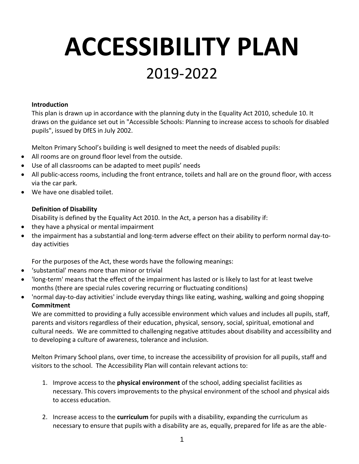## **ACCESSIBILITY PLAN** 2019-2022

## **Introduction**

This plan is drawn up in accordance with the planning duty in the Equality Act 2010, schedule 10. It draws on the guidance set out in "Accessible Schools: Planning to increase access to schools for disabled pupils", issued by DfES in July 2002.

Melton Primary School's building is well designed to meet the needs of disabled pupils:

- All rooms are on ground floor level from the outside.
- Use of all classrooms can be adapted to meet pupils' needs
- All public-access rooms, including the front entrance, toilets and hall are on the ground floor, with access via the car park.
- We have one disabled toilet.

## **Definition of Disability**

Disability is defined by the Equality Act 2010. In the Act, a person has a disability if:

- they have a physical or mental impairment
- the impairment has a substantial and long-term adverse effect on their ability to perform normal day-today activities

For the purposes of the Act, these words have the following meanings:

- 'substantial' means more than minor or trivial
- 'long-term' means that the effect of the impairment has lasted or is likely to last for at least twelve months (there are special rules covering recurring or fluctuating conditions)
- 'normal day-to-day activities' include everyday things like eating, washing, walking and going shopping **Commitment**

We are committed to providing a fully accessible environment which values and includes all pupils, staff, parents and visitors regardless of their education, physical, sensory, social, spiritual, emotional and cultural needs. We are committed to challenging negative attitudes about disability and accessibility and to developing a culture of awareness, tolerance and inclusion.

Melton Primary School plans, over time, to increase the accessibility of provision for all pupils, staff and visitors to the school. The Accessibility Plan will contain relevant actions to:

- 1. Improve access to the **physical environment** of the school, adding specialist facilities as necessary. This covers improvements to the physical environment of the school and physical aids to access education.
- 2. Increase access to the **curriculum** for pupils with a disability, expanding the curriculum as necessary to ensure that pupils with a disability are as, equally, prepared for life as are the able-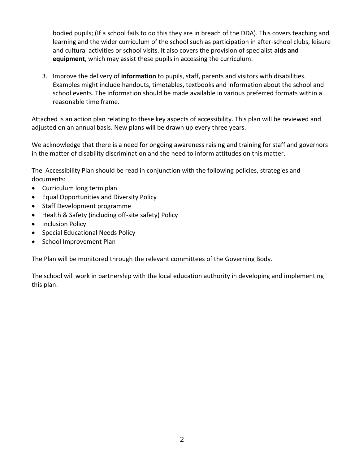bodied pupils; (If a school fails to do this they are in breach of the DDA). This covers teaching and learning and the wider curriculum of the school such as participation in after-school clubs, leisure and cultural activities or school visits. It also covers the provision of specialist **aids and equipment**, which may assist these pupils in accessing the curriculum.

3. Improve the delivery of **information** to pupils, staff, parents and visitors with disabilities. Examples might include handouts, timetables, textbooks and information about the school and school events. The information should be made available in various preferred formats within a reasonable time frame.

Attached is an action plan relating to these key aspects of accessibility. This plan will be reviewed and adjusted on an annual basis. New plans will be drawn up every three years.

We acknowledge that there is a need for ongoing awareness raising and training for staff and governors in the matter of disability discrimination and the need to inform attitudes on this matter.

The Accessibility Plan should be read in conjunction with the following policies, strategies and documents:

- Curriculum long term plan
- Equal Opportunities and Diversity Policy
- Staff Development programme
- Health & Safety (including off-site safety) Policy
- Inclusion Policy
- Special Educational Needs Policy
- School Improvement Plan

The Plan will be monitored through the relevant committees of the Governing Body.

The school will work in partnership with the local education authority in developing and implementing this plan.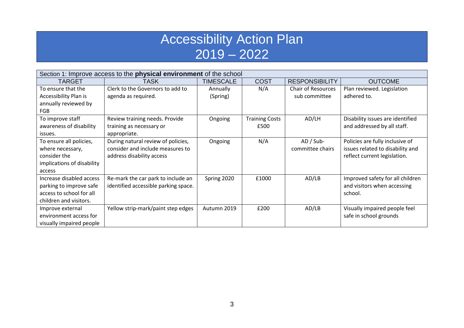## Accessibility Action Plan  $2019 - 2022$

| Section 1: Improve access to the <b>physical environment</b> of the school |                                      |                  |                       |                           |                                  |  |
|----------------------------------------------------------------------------|--------------------------------------|------------------|-----------------------|---------------------------|----------------------------------|--|
| TARGET                                                                     | <b>TASK</b>                          | <b>TIMESCALE</b> | <b>COST</b>           | <b>RESPONSIBILITY</b>     | <b>OUTCOME</b>                   |  |
| To ensure that the                                                         | Clerk to the Governors to add to     | Annually         | N/A                   | <b>Chair of Resources</b> | Plan reviewed. Legislation       |  |
| Accessibility Plan is                                                      | agenda as required.                  | (Spring)         |                       | sub committee             | adhered to.                      |  |
| annually reviewed by                                                       |                                      |                  |                       |                           |                                  |  |
| <b>FGB</b>                                                                 |                                      |                  |                       |                           |                                  |  |
| To improve staff                                                           | Review training needs. Provide       | Ongoing          | <b>Training Costs</b> | AD/LH                     | Disability issues are identified |  |
| awareness of disability                                                    | training as necessary or             |                  | £500                  |                           | and addressed by all staff.      |  |
| issues.                                                                    | appropriate.                         |                  |                       |                           |                                  |  |
| To ensure all policies,                                                    | During natural review of policies,   | Ongoing          | N/A                   | $AD / Sub-$               | Policies are fully inclusive of  |  |
| where necessary,                                                           | consider and include measures to     |                  |                       | committee chairs          | issues related to disability and |  |
| consider the                                                               | address disability access            |                  |                       |                           | reflect current legislation.     |  |
| implications of disability                                                 |                                      |                  |                       |                           |                                  |  |
| access                                                                     |                                      |                  |                       |                           |                                  |  |
| Increase disabled access                                                   | Re-mark the car park to include an   | Spring 2020      | £1000                 | AD/LB                     | Improved safety for all children |  |
| parking to improve safe                                                    | identified accessible parking space. |                  |                       |                           | and visitors when accessing      |  |
| access to school for all                                                   |                                      |                  |                       |                           | school.                          |  |
| children and visitors.                                                     |                                      |                  |                       |                           |                                  |  |
| Improve external                                                           | Yellow strip-mark/paint step edges   | Autumn 2019      | £200                  | AD/LB                     | Visually impaired people feel    |  |
| environment access for                                                     |                                      |                  |                       |                           | safe in school grounds           |  |
| visually impaired people                                                   |                                      |                  |                       |                           |                                  |  |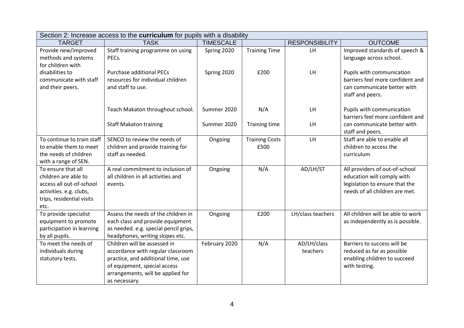| Section 2: Increase access to the curriculum for pupils with a disability |                                       |                  |                       |                       |                                   |  |
|---------------------------------------------------------------------------|---------------------------------------|------------------|-----------------------|-----------------------|-----------------------------------|--|
| <b>TARGET</b>                                                             | <b>TASK</b>                           | <b>TIMESCALE</b> |                       | <b>RESPONSIBILITY</b> | <b>OUTCOME</b>                    |  |
| Provide new/improved                                                      | Staff training programme on using     | Spring 2020      | <b>Training Time</b>  | LH.                   | Improved standards of speech &    |  |
| methods and systems                                                       | PECs.                                 |                  |                       |                       | language across school.           |  |
| for children with                                                         |                                       |                  |                       |                       |                                   |  |
| disabilities to                                                           | <b>Purchase additional PECs</b>       | Spring 2020      | £200                  | LH                    | Pupils with communication         |  |
| communicate with staff                                                    | resources for individual children     |                  |                       |                       | barriers feel more confident and  |  |
| and their peers.                                                          | and staff to use.                     |                  |                       |                       | can communicate better with       |  |
|                                                                           |                                       |                  |                       |                       | staff and peers.                  |  |
|                                                                           | Teach Makaton throughout school.      | Summer 2020      | N/A                   | LH                    | Pupils with communication         |  |
|                                                                           |                                       |                  |                       |                       | barriers feel more confident and  |  |
|                                                                           | <b>Staff Makaton training</b>         | Summer 2020      | <b>Training time</b>  | LH                    | can communicate better with       |  |
|                                                                           |                                       |                  |                       |                       | staff and peers.                  |  |
| To continue to train staff                                                | SENCO to review the needs of          | Ongoing          | <b>Training Costs</b> | LH                    | Staff are able to enable all      |  |
| to enable them to meet                                                    | children and provide training for     |                  | £500                  |                       | children to access the            |  |
| the needs of children                                                     | staff as needed.                      |                  |                       |                       | curriculum                        |  |
| with a range of SEN.                                                      |                                       |                  |                       |                       |                                   |  |
| To ensure that all                                                        | A real commitment to inclusion of     | Ongoing          | N/A                   | AD/LH/ST              | All providers of out-of-school    |  |
| children are able to                                                      | all children in all activities and    |                  |                       |                       | education will comply with        |  |
| access all out-of-school                                                  | events.                               |                  |                       |                       | legislation to ensure that the    |  |
| activities. e.g. clubs,                                                   |                                       |                  |                       |                       | needs of all children are met.    |  |
| trips, residential visits                                                 |                                       |                  |                       |                       |                                   |  |
| etc.                                                                      | Assess the needs of the children in   |                  | £200                  |                       | All children will be able to work |  |
| To provide specialist<br>equipment to promote                             | each class and provide equipment      | Ongoing          |                       | LH/class teachers     | as independently as is possible.  |  |
| participation in learning                                                 | as needed. e.g. special pencil grips, |                  |                       |                       |                                   |  |
| by all pupils.                                                            | headphones, writing slopes etc.       |                  |                       |                       |                                   |  |
| To meet the needs of                                                      | Children will be assessed in          | February 2020    | N/A                   | AD/LH/class           | Barriers to success will be       |  |
| individuals during                                                        | accordance with regular classroom     |                  |                       | teachers              | reduced as far as possible        |  |
| statutory tests.                                                          | practice, and additional time, use    |                  |                       |                       | enabling children to succeed      |  |
|                                                                           | of equipment, special access          |                  |                       |                       | with testing.                     |  |
|                                                                           | arrangements, will be applied for     |                  |                       |                       |                                   |  |
|                                                                           | as necessary.                         |                  |                       |                       |                                   |  |